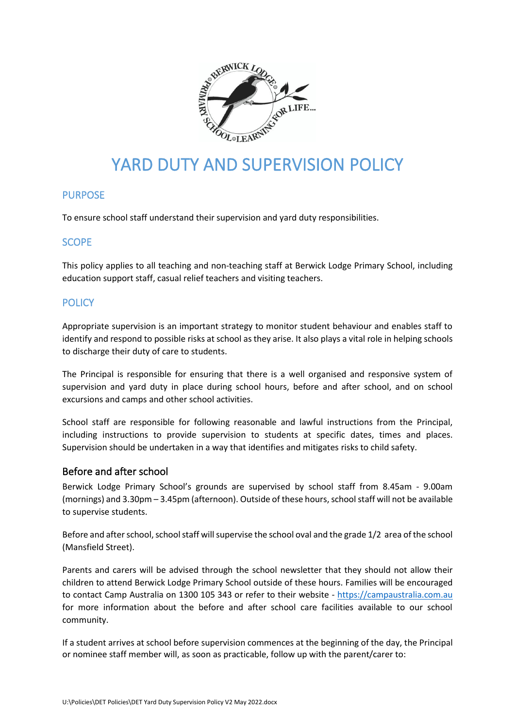

# YARD DUTY AND SUPERVISION POLICY

# PURPOSE

To ensure school staff understand their supervision and yard duty responsibilities.

# **SCOPE**

This policy applies to all teaching and non-teaching staff at Berwick Lodge Primary School, including education support staff, casual relief teachers and visiting teachers.

# **POLICY**

Appropriate supervision is an important strategy to monitor student behaviour and enables staff to identify and respond to possible risks at school as they arise. It also plays a vital role in helping schools to discharge their duty of care to students.

The Principal is responsible for ensuring that there is a well organised and responsive system of supervision and yard duty in place during school hours, before and after school, and on school excursions and camps and other school activities.

School staff are responsible for following reasonable and lawful instructions from the Principal, including instructions to provide supervision to students at specific dates, times and places. Supervision should be undertaken in a way that identifies and mitigates risks to child safety.

#### Before and after school

Berwick Lodge Primary School's grounds are supervised by school staff from 8.45am - 9.00am (mornings) and 3.30pm – 3.45pm (afternoon). Outside of these hours, school staff will not be available to supervise students.

Before and after school, school staff will supervise the school oval and the grade 1/2 area of the school (Mansfield Street).

Parents and carers will be advised through the school newsletter that they should not allow their children to attend Berwick Lodge Primary School outside of these hours. Families will be encouraged to contact Camp Australia on 1300 105 343 or refer to their website - [https://campaustralia.com.au](https://campaustralia.com.au/) for more information about the before and after school care facilities available to our school community.

If a student arrives at school before supervision commences at the beginning of the day, the Principal or nominee staff member will, as soon as practicable, follow up with the parent/carer to: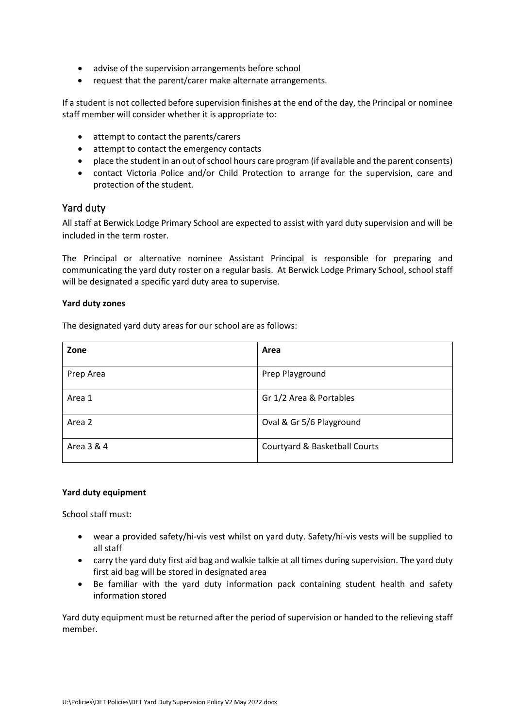- advise of the supervision arrangements before school
- request that the parent/carer make alternate arrangements.

If a student is not collected before supervision finishes at the end of the day, the Principal or nominee staff member will consider whether it is appropriate to:

- attempt to contact the parents/carers
- attempt to contact the emergency contacts
- place the student in an out of school hours care program (if available and the parent consents)
- contact Victoria Police and/or Child Protection to arrange for the supervision, care and protection of the student.

## Yard duty

All staff at Berwick Lodge Primary School are expected to assist with yard duty supervision and will be included in the term roster.

The Principal or alternative nominee Assistant Principal is responsible for preparing and communicating the yard duty roster on a regular basis. At Berwick Lodge Primary School, school staff will be designated a specific yard duty area to supervise.

#### **Yard duty zones**

The designated yard duty areas for our school are as follows:

| Zone       | Area                          |
|------------|-------------------------------|
| Prep Area  | Prep Playground               |
| Area 1     | Gr 1/2 Area & Portables       |
| Area 2     | Oval & Gr 5/6 Playground      |
| Area 3 & 4 | Courtyard & Basketball Courts |

#### **Yard duty equipment**

School staff must:

- wear a provided safety/hi-vis vest whilst on yard duty. Safety/hi-vis vests will be supplied to all staff
- carry the yard duty first aid bag and walkie talkie at all times during supervision. The yard duty first aid bag will be stored in designated area
- Be familiar with the yard duty information pack containing student health and safety information stored

Yard duty equipment must be returned after the period of supervision or handed to the relieving staff member.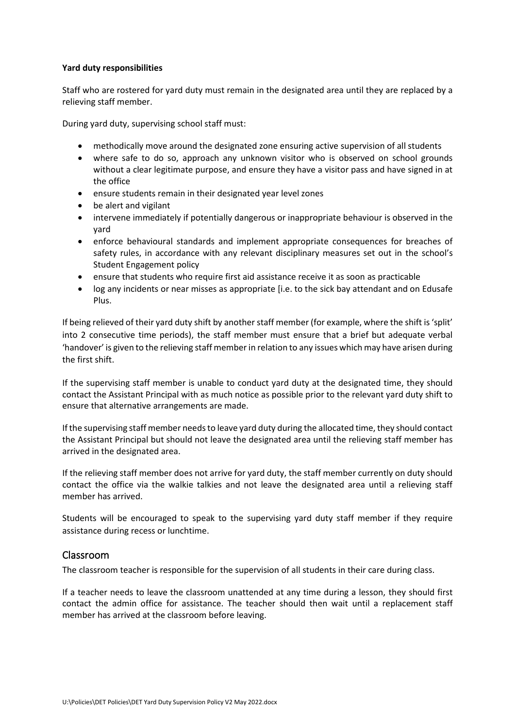#### **Yard duty responsibilities**

Staff who are rostered for yard duty must remain in the designated area until they are replaced by a relieving staff member.

During yard duty, supervising school staff must:

- methodically move around the designated zone ensuring active supervision of all students
- where safe to do so, approach any unknown visitor who is observed on school grounds without a clear legitimate purpose, and ensure they have a visitor pass and have signed in at the office
- ensure students remain in their designated year level zones
- be alert and vigilant
- intervene immediately if potentially dangerous or inappropriate behaviour is observed in the yard
- enforce behavioural standards and implement appropriate consequences for breaches of safety rules, in accordance with any relevant disciplinary measures set out in the school's Student Engagement policy
- ensure that students who require first aid assistance receive it as soon as practicable
- log any incidents or near misses as appropriate [i.e. to the sick bay attendant and on Edusafe Plus.

If being relieved of their yard duty shift by another staff member (for example, where the shift is 'split' into 2 consecutive time periods), the staff member must ensure that a brief but adequate verbal 'handover' is given to the relieving staff member in relation to any issues which may have arisen during the first shift.

If the supervising staff member is unable to conduct yard duty at the designated time, they should contact the Assistant Principal with as much notice as possible prior to the relevant yard duty shift to ensure that alternative arrangements are made.

If the supervising staff member needs to leave yard duty during the allocated time, they should contact the Assistant Principal but should not leave the designated area until the relieving staff member has arrived in the designated area.

If the relieving staff member does not arrive for yard duty, the staff member currently on duty should contact the office via the walkie talkies and not leave the designated area until a relieving staff member has arrived.

Students will be encouraged to speak to the supervising yard duty staff member if they require assistance during recess or lunchtime.

#### Classroom

The classroom teacher is responsible for the supervision of all students in their care during class.

If a teacher needs to leave the classroom unattended at any time during a lesson, they should first contact the admin office for assistance. The teacher should then wait until a replacement staff member has arrived at the classroom before leaving.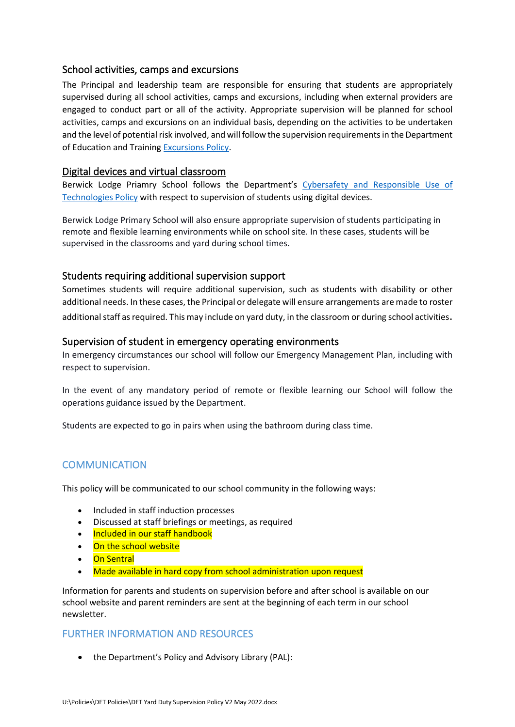## School activities, camps and excursions

The Principal and leadership team are responsible for ensuring that students are appropriately supervised during all school activities, camps and excursions, including when external providers are engaged to conduct part or all of the activity. Appropriate supervision will be planned for school activities, camps and excursions on an individual basis, depending on the activities to be undertaken and the level of potential risk involved, and will follow the supervision requirements in the Department of Education and Training [Excursions Policy.](https://www2.education.vic.gov.au/pal/excursions/policy)

### Digital devices and virtual classroom

Berwick Lodge Priamry School follows the Department's [Cybersafety and Responsible Use of](https://www2.education.vic.gov.au/pal/cybersafety/policy)  [Technologies Policy](https://www2.education.vic.gov.au/pal/cybersafety/policy) with respect to supervision of students using digital devices.

Berwick Lodge Primary School will also ensure appropriate supervision of students participating in remote and flexible learning environments while on school site. In these cases, students will be supervised in the classrooms and yard during school times.

## Students requiring additional supervision support

Sometimes students will require additional supervision, such as students with disability or other additional needs. In these cases, the Principal or delegate will ensure arrangements are made to roster additional staff as required. This may include on vard duty, in the classroom or during school activities.

#### Supervision of student in emergency operating environments

In emergency circumstances our school will follow our Emergency Management Plan, including with respect to supervision.

In the event of any mandatory period of remote or flexible learning our School will follow the operations guidance issued by the Department.

Students are expected to go in pairs when using the bathroom during class time.

# **COMMUNICATION**

This policy will be communicated to our school community in the following ways:

- Included in staff induction processes
- Discussed at staff briefings or meetings, as required
- Included in our staff handbook
- On the school website
- On Sentral
- Made available in hard copy from school administration upon request

Information for parents and students on supervision before and after school is available on our school website and parent reminders are sent at the beginning of each term in our school newsletter.

#### FURTHER INFORMATION AND RESOURCES

• the Department's Policy and Advisory Library (PAL):